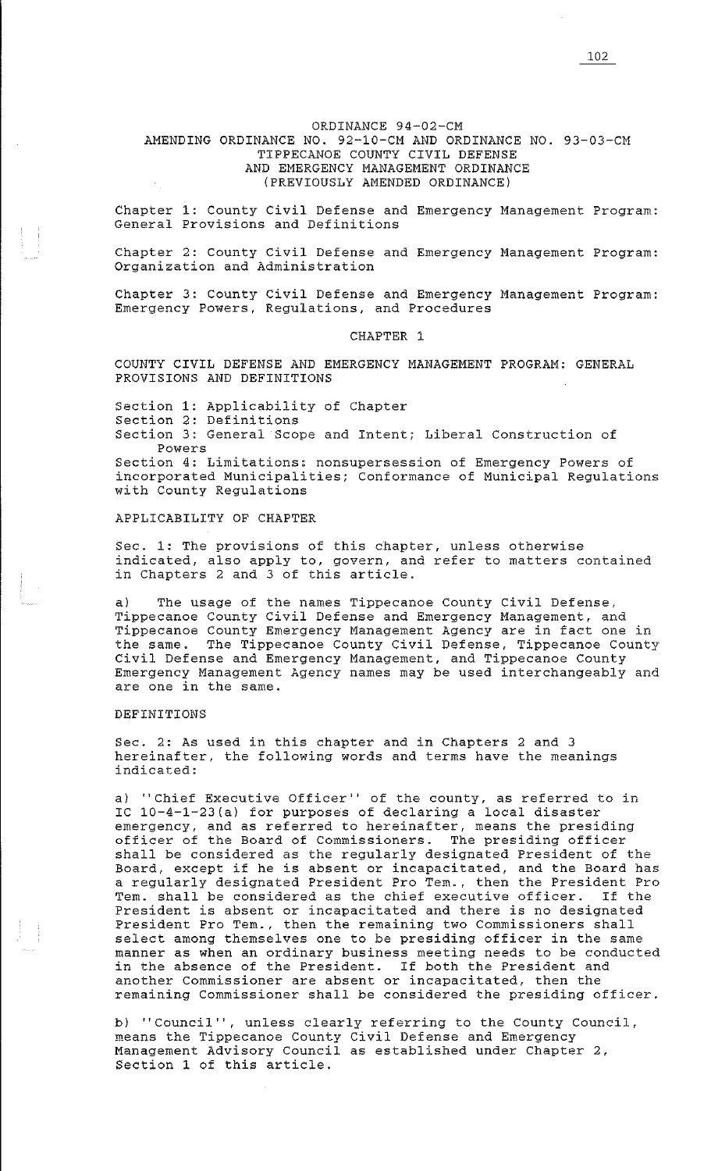# ORDINANCE 94-02-CM

# AMENDING ORDINANCE NO. 92-10-CM AND ORDINANCE NO. 93-03-CM TIPPECANOE COUNTY CIVIL DEFENSE AND EMERGENCY MANAGEMENT ORDINANCE (PREVIOUSLY AMENDED ORDINANCE)

Chapter 1: County Civil Defense and Emergency Management Program: General Provisions and Definitions

Chapter 2: County Civil Defense and Emergency Management Program: Organization and Administration

Chapter 3: County Civil Defense and Emergency Management Program: Emergency Powers, Regulations, and Procedures

# CHAPTER 1

COUNTY CIVIL DEFENSE AND EMERGENCY MANAGEMENT PROGRAM: GENERAL PROVISIONS AND DEFINITIONS

Section 1: Applicability of Chapter Section 2: Definitions Section 3: General Scope and Intent; Liberal Construction of Powers

Section 4: Limitations: nonsupersession of Emergency Powers of incorporated Municipalities; Conformance of Municipal Regulations with County Regulations

APPLICABILITY OF CHAPTER

Sec. 1: The provisions of this chapter, unless otherwise indicated, also apply to, govern, and refer to matters contained in Chapters 2 and 3 of this article.

a) The usage of the names Tippecanoe County Civil Defense, Tippecanoe County Civil Defense and Emergency Management, and Tippecanoe County Emergency Management Agency are in fact one in the same. The Tippecanoe County Civil Defense, Tippecanoe County Civil Defense and Emergency Management, and Tippecanoe County Emergency Management Agency names may be used interchangeably and are one in the same.

### DEFINITIONS

Sec. 2: As used in this chapter and in Chapters 2 and 3 hereinafter, the following words and terms have the meanings indicated:

a) "Chief Executive Officer" of the county, as referred to in IC 10-4-l-23(a) for purposes of declaring a local disaster emergency, and as referred to hereinafter, means the presiding officer of the Board of Commissioners. The presiding officer shall be considered as the regularly designated President of the Board, except if he is absent or incapacitated, and the Board has a regularly designated President Pro Tem., then the President Pro Tem. shall be considered as the chief executive officer. If the President is absent or incapacitated and there is no designated President Pro Tem., then the remaining two Commissioners shall select among themselves one to be presiding officer in the same manner as when an ordinary business meeting needs to be conducted in the absence of the President. If both the President and another Commissioner are absent or incapacitated, then the remaining Commissioner shall be considered the presiding officer.

b) "Council", unless clearly referring to the County Council, means the Tippecanoe County Civil Defense and Emergency Management Advisory Council as established under Chapter 2, Section 1 of this article.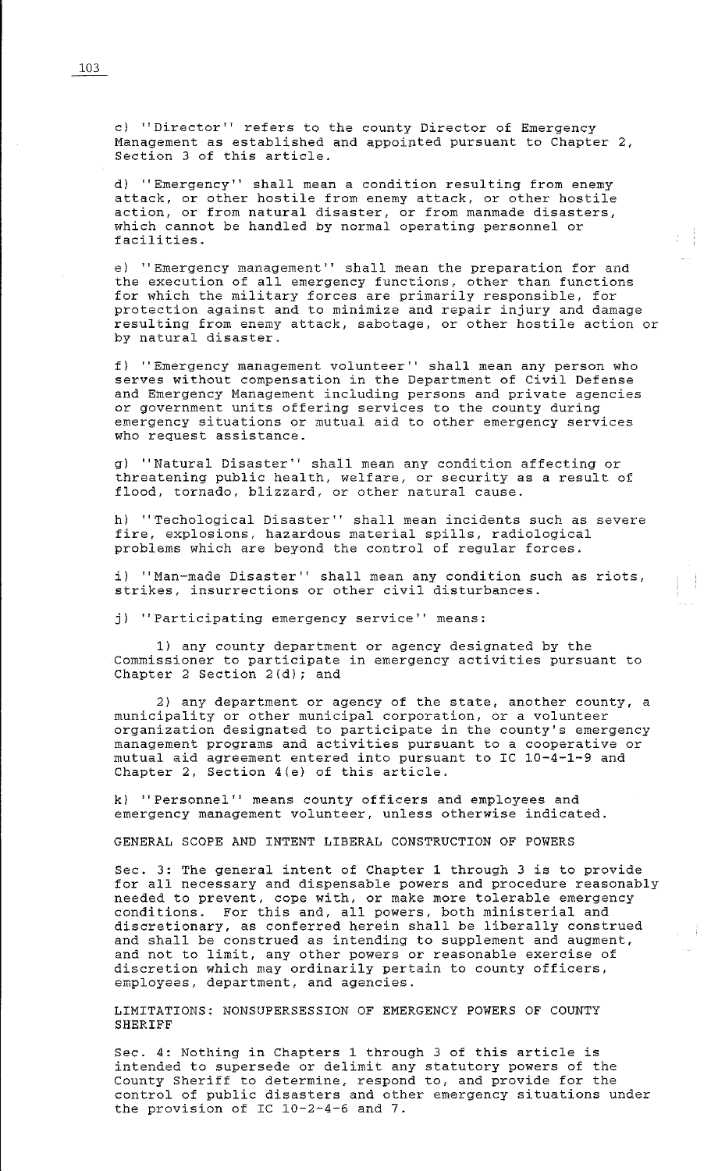c) ''Director'' refers to the county Director of Emergency Management as established and appointed pursuant to Chapter 2, Section 3 of this article.

d) "Emergency" shall mean a condition resulting from enemy attack, or other hostile from enemy attack, or other hostile action, or from natural disaster, or from manmade disasters, which cannot be handled by normal operating personnel or facilities.

e) ''Emergency management'' shall mean the preparation for and the execution of all emergency functions, other than functions for which the military forces are primarily responsible, for protection against and to minimize and repair injury and damage resulting from enemy attack, sabotage, or other hostile action or by natural disaster.

经事

f) "Emergency management volunteer" shall mean any person who serves without compensation in the Department of Civil Defense and Emergency Management including persons and private agencies or government units offering services to the county during emergency situations or mutual aid to other emergency services who request assistance.

g) ''Natural Disaster'' shall mean any condition affecting or threatening public health, welfare, or security as a result of flood, tornado, blizzard, or other natural cause.

h) "Techological Disaster" shall mean incidents such as severe fire, explosions, hazardous material spills, radiological problems which are beyond the control of regular forces.

i) "Man-made Disaster" shall mean any condition such as riots, strikes, insurrections or other civil disturbances.

j) ''Participating emergency service'' means:

1) any county department or agency designated by the Commissioner to participate in emergency activities pursuant to Chapter 2 Section 2(d); and

2) any department or agency of the state, another county, a municipality or other municipal corporation, or a volunteer organization designated to participate in the county's emergency management programs and activities pursuant to a cooperative or mutual aid agreement entered into pursuant to IC 10-4-1-9 and Chapter 2, Section 4(e) of this article.

k) ''Personnel'' means county officers and employees and emergency management volunteer, unless otherwise indicated.

GENERAL SCOPE AND INTENT LIBERAL CONSTRUCTION OF POWERS

Sec. 3: The general intent of Chapter 1 through 3 is to provide for all necessary and dispensable powers and procedure reasonably needed to prevent, cope with, or make more tolerable emergency conditions. For this and, all powers, both ministerial and discretionary, as conferred herein shall be liberally construed and shall be construed as intending to supplement and augment, and not to limit, any other powers or reasonable exercise of discretion which may ordinarily pertain to county officers, employees, department, and agencies.

LIMITATIONS: NONSUPERSESSION OF EMERGENCY POWERS OF COUNTY SHERIFF

Sec. 4: Nothing in Chapters 1 through 3 of this article is intended to supersede or delimit any statutory powers of the County Sheriff to determine, respond to, and provide for the control of public disasters and other emergency situations under the provision of IC 10-2-4-6 and 7.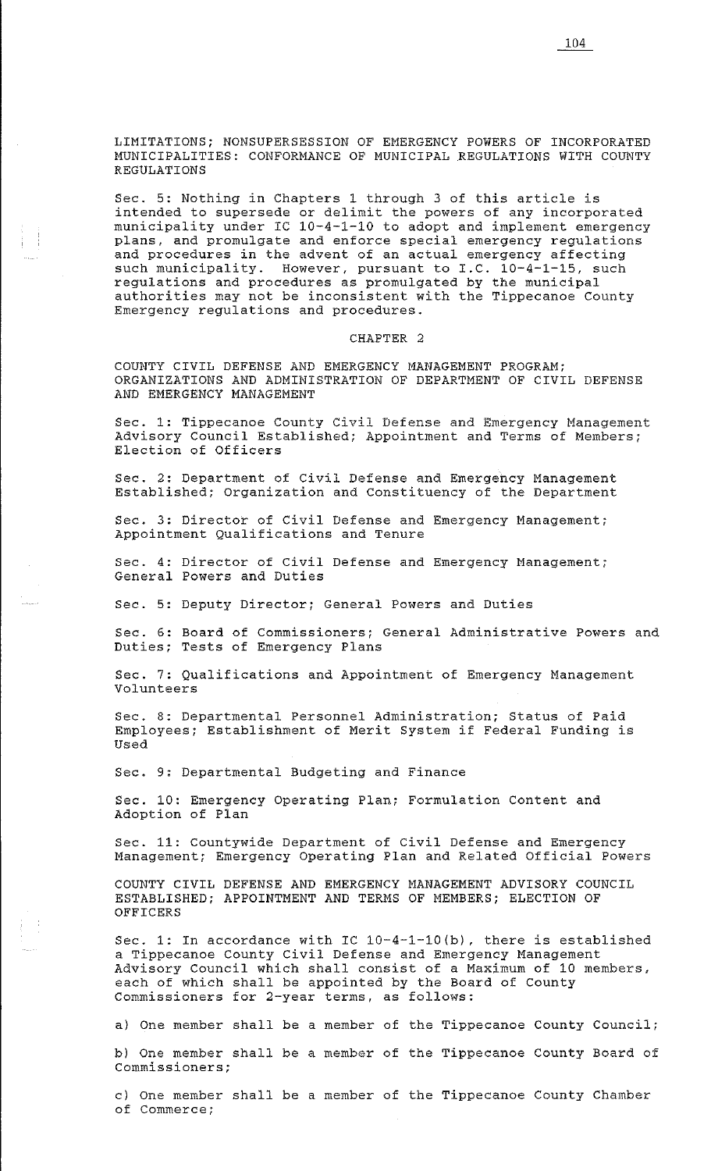Sec. 5: Nothing in Chapters 1 through 3 of this article is intended to supersede or delimit the powers of any incorporated municipality under IC 10-4-1-10 to adopt and implement emergency plans, and promulgate and enforce special emergency regulations and procedures in the advent of an actual emergency affecting such municipality. However, pursuant to I.C. 10-4-1-15, such regulations and procedures as promulgated by the municipal authorities may not be inconsistent with the Tippecanoe County Emergency regulations and procedures.

### CHAPTER 2

COUNTY CIVIL DEFENSE AND EMERGENCY MANAGEMENT PROGRAM; ORGANIZATIONS AND ADMINISTRATION OF DEPARTMENT OF CIVIL DEFENSE AND EMERGENCY MANAGEMENT

Sec. 1: Tippecanoe County Civil Defense and Emergency Management Advisory Council Established; Appointment and Terms of Members; Election of Officers

Sec. 2: Department of Civil Defense and Emergency Management Established; Organization and Constituency of the Department

Sec. 3: Director of Civil Defense and Emergency Management; Appointment Qualifications and Tenure

Sec. 4: Director of Civil Defense and Emergency Management; General Powers and Duties

Sec. 5: Deputy Director; General Powers and Duties

Sec. 6: Board of Commissioners; General Administrative Powers and Duties; Tests of Emergency Plans

Sec. 7: Qualifications and Appointment of Emergency Management Volunteers

Sec. 8: Departmental Personnel Administration; Status of Paid Employees; Establishment of Merit System if Federal Funding is Used

Sec. 9: Departmental Budgeting and Finance

Sec. 10: Emergency Operating Plan; Formulation Content and Adoption of Plan

Sec. 11: Countywide Department of Civil Defense and Emergency Management; Emergency Operating Plan and Related Official Powers

COUNTY CIVIL DEFENSE AND EMERGENCY MANAGEMENT ADVISORY COUNCIL ESTABLISHED; APPOINTMENT AND TERMS OF MEMBERS; ELECTION OF OFFICERS

Sec. 1: In accordance with IC 10-4-1-10(b), there is established a Tippecanoe County Civil Defense and Emergency Management Advisory Council which shall consist of a Maximum of 10 members, each of which shall be appointed by the Board of County Commissioners for 2-year terms, as follows:

a) One member shall be a member of the Tippecanoe County Council; b) One member shall be a member of the Tippecanoe County Board of Commissioners;

c) One member shall be a member of the Tippecanoe County Chamber of Commerce;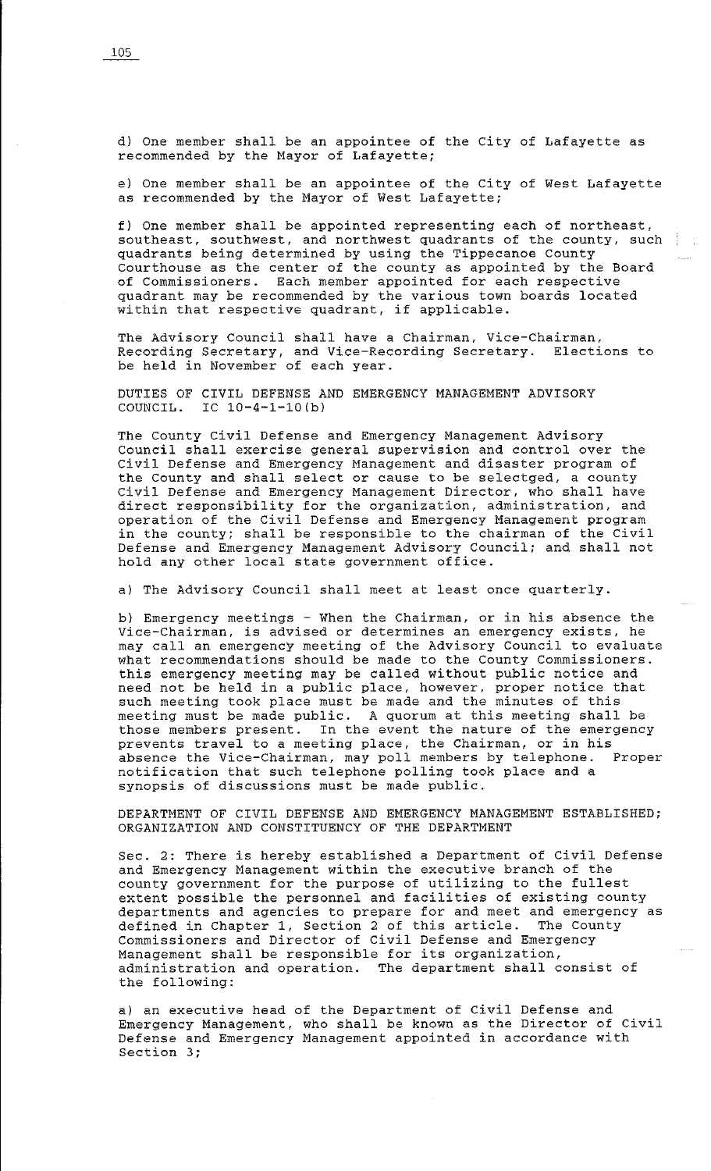d} One member shall be an appointee of the City of Lafayette as recommended by the Mayor of Lafayette;

e} One member shall be an appointee of the City of West Lafayette as recommended by the Mayor of West Lafayette;

f} One member shall be appointed representing each of northeast, southeast, southwest, and northwest quadrants of the county, such quadrants being determined by using the Tippecanoe County Courthouse as the center of the county as appointed by the Board of Commissioners. Each member appointed for each respective quadrant may be recommended by the various town boards located within that respective quadrant, if applicable.

The Advisory Council shall have a Chairman, Vice-Chairman, Recording Secretary, and Vice-Recording Secretary. Elections to be held in November of each year.

DUTIES OF CIVIL DEFENSE AND EMERGENCY MANAGEMENT ADVISORY COUNCIL. IC  $10-4-1-10$  (b)

The County Civil Defense and Emergency Management Advisory Council shall exercise general supervision and control over the Civil Defense and Emergency Management and disaster program of the County and shall select or cause to be selectged, a county Civil Defense and Emergency Management Director, who shall have direct responsibility for the organization, administration, and operation of the Civil Defense and Emergency Management program in the county; shall be responsible to the chairman of the Civil Defense and Emergency Management Advisory Council; and shall not hold any other local state government office.

a) The Advisory Council shall meet at least once quarterly.

b) Emergency meetings - When the Chairman, or in his absence the Vice-Chairman, is advised or determines an emergency exists, he may call an emergency meeting of the Advisory Council to evaluate what recommendations should be made to the County Commissioners. this emergency meeting may be called without public notice and need not be held in a public place, however, proper notice that such meeting took place must be made and the minutes of this meeting must be made public. A quorum at this meeting shall be those members present. In the event the nature of the emergency prevents travel to a meeting place, the Chairman, or in his absence the Vice-Chairman, may poll members by telephone. Proper notification that such telephone polling took place and a synopsis of discussions must be made public.

DEPARTMENT OF CIVIL DEFENSE AND EMERGENCY MANAGEMENT ESTABLISHED; ORGANIZATION AND CONSTITUENCY OF THE DEPARTMENT

Sec. 2: There is hereby established a Department of Civil Defense and Emergency Management within the executive branch of the county government for the purpose of utilizing to the fullest extent possible the personnel and facilities of existing county departments and agencies to prepare for and meet and emergency as defined in Chapter l, Section 2 of this article. The County Commissioners and Director of Civil Defense and Emergency Management shall be responsible for its organization, administration and operation. The department shall consist of the following:

a) an executive head of the Department of Civil Defense and Emergency Management, who shall be known as the Director of Civil Defense and Emergency Management appointed in accordance with Section 3;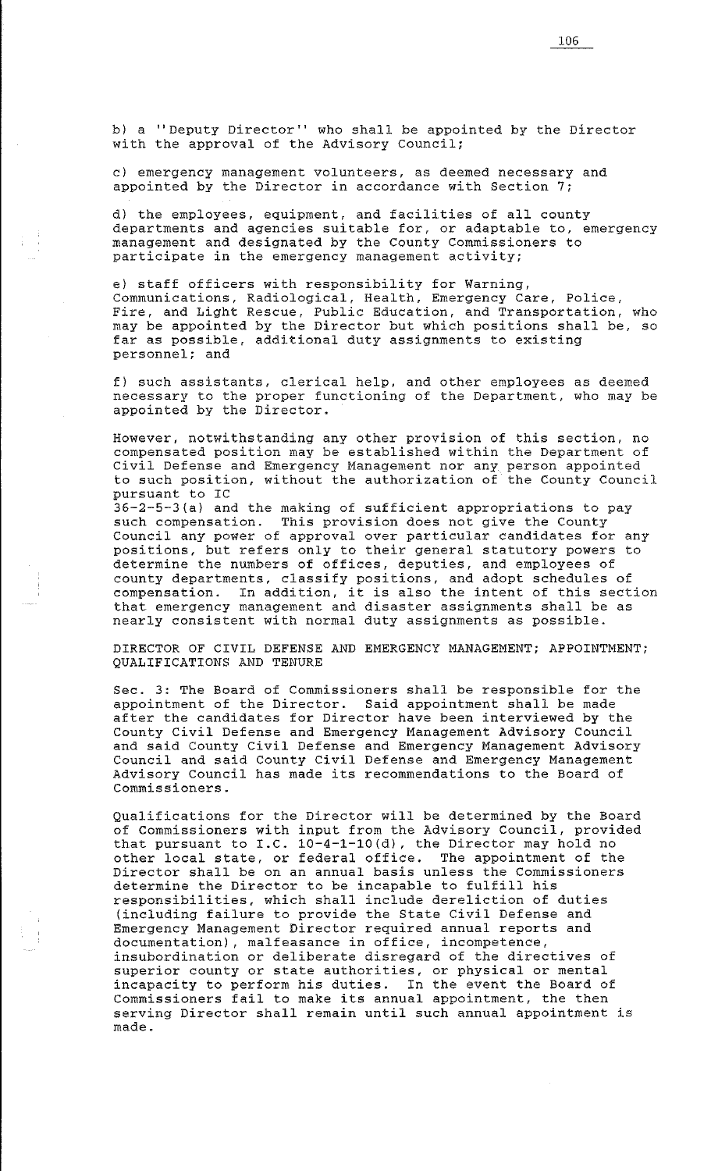b) a "Deputy Director" who shall be appointed by the Director with the approval of the Advisory Council;

c) emergency management volunteers, as deemed necessary and appointed by the Director in accordance with Section 7;

d) the employees, equipment, and facilities of all county departments and agencies suitable for, or adaptable to, emergency management and designated by the County Commissioners to participate in the emergency management activity;

e) staff officers with responsibility for Warning, Communications, Radiological, Health, Emergency Care, Police, Fire, and Light Rescue, Public Education, and Transportation, who may be appointed by the Director but which positions shall be, so far as possible, additional duty assignments to existing personnel; and

f) such assistants, clerical help, and other employees as deemed necessary to the proper functioning of the Department, who may be appointed by the Director.

However, notwithstanding any other provision of this section, no compensated position may be established within the Department of Civil Defense and Emergency Management nor any person appointed to such position, without the authorization of the County Council pursuant to IC 36-2-5-3(a) and the making of sufficient appropriations to pay such compensation. This provision does not give the County Council any power of approval over particular candidates for any positions, but refers only to their general statutory powers to determine the numbers of offices, deputies, and employees of county departments, classify positions, and adopt schedules of compensation. In addition, it is also the intent of this section that emergency management and disaster assignments shall be as nearly consistent with normal duty assignments as possible.

DIRECTOR OF CIVIL DEFENSE AND EMERGENCY MANAGEMENT; APPOINTMENT; QUALIFICATIONS AND TENURE

Sec. 3: The Board of Commissioners shall be responsible for the appointment of the Director. Said appointment shall be made after the candidates for Director have been interviewed by the County Civil Defense and Emergency Management Advisory Council and said County Civil Defense and Emergency Management Advisory Council and said County Civil Defense and Emergency Management Advisory Council has made its recommendations to the Board of Commissioners.

Qualifications for the Director will be determined by the Board of Commissioners with input from the Advisory Council, provided that pursuant to I.C. 10-4-1-10(d), the Director may hold no other local state, or federal office. The appointment of the Director shall be on an annual basis unless the Commissioners determine the Director to be incapable to fulfill his responsibilities, which shall include dereliction of duties (including failure to provide the State Civil Defense and Emergency Management Director required annual reports and documentation), malfeasance in office, incompetence, insubordination or deliberate disregard of the directives of superior county or state authorities, or physical or mental incapacity to perform his duties. In the event the Board of Commissioners fail to make its annual appointment, the then serving Director shall remain until such annual appointment is made.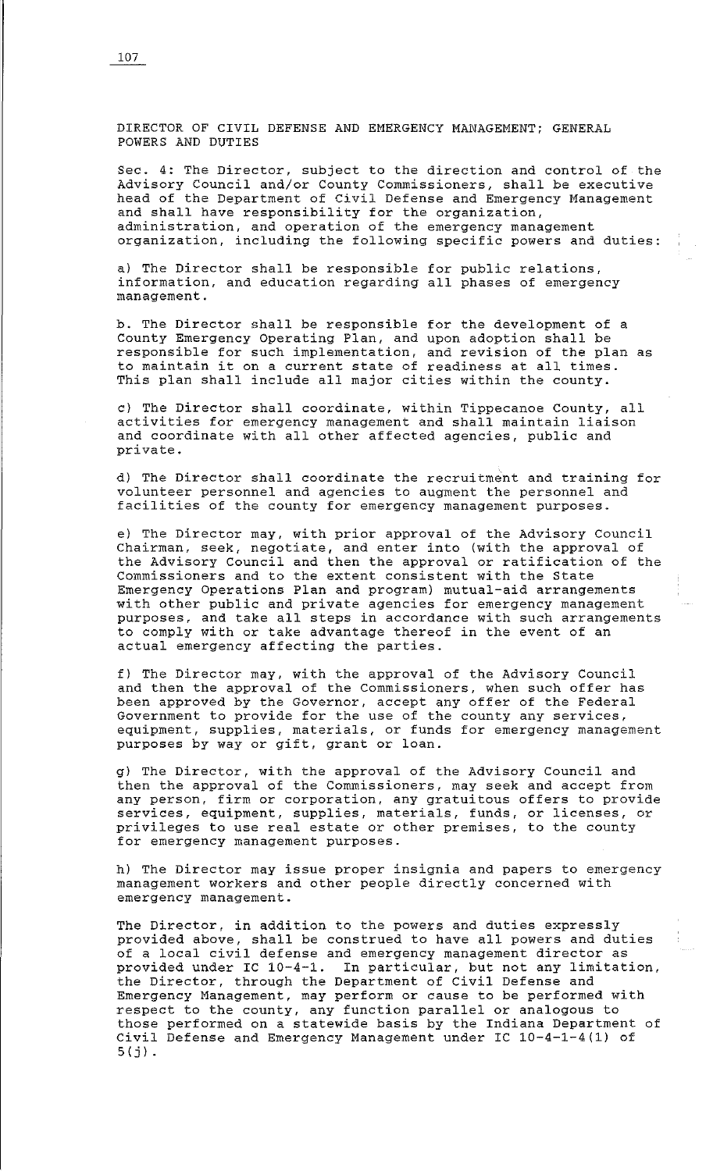DIRECTOR OF CIVIL DEFENSE AND EMERGENCY MANAGEMENT; GENERAL POWERS AND DUTIES

Sec. 4: The Director, subject to the direction and control of the Advisory Council and/or County Commissioners, shall be executive head of the Department of Civil Defense and Emergency Management and shall have responsibility for the organization, administration, and operation of the emergency management organization, including the following specific powers and duties:

a) The Director shall be responsible for public relations, information, and education regarding all phases of emergency management.

b. The Director shall be responsible for the development of a County Emergency Operating Plan, and upon adoption shall be responsible for such implementation, and revision of the plan as to maintain it on a current state of readiness at all times. This plan shall include all major cities within the county.

c) The Director shall coordinate, within Tippecanoe County, all activities for emergency management and shall maintain liaison and coordinate with all other affected agencies, public and private.

d) The Director shall coordinate the recruitment and training for volunteer personnel and agencies to augment the personnel and facilities of the county for emergency management purposes.

e) The Director may, with prior approval of the Advisory Council Chairman, seek, negotiate, and enter into (with the approval of the Advisory Council and then the approval or ratification of the Commissioners and to the extent consistent with the State Emergency Operations Plan and program) mutual-aid arrangements with other public and private agencies for emergency management purposes, and take all steps in accordance with such arrangements to comply with or take advantage thereof in the event of an actual emergency affecting the parties.

f) The Director may, with the approval of the Advisory Council and then the approval of the Commissioners, when such offer has been approved by the Governor, accept any offer of the Federal Government to provide for the use of the county any services, equipment, supplies, materials, or funds for emergency management purposes by way or gift, grant or loan.

g) The Director, with the approval of the Advisory Council and then the approval of the Commissioners, may seek and accept from any person, firm or corporation, any gratuitous offers to provide services, equipment, supplies, materials, funds, or licenses, or privileges to use real estate or other premises, to the county for emergency management purposes.

h) The Director may issue proper insignia and papers to emergency management workers and other people directly concerned with emergency management.

The Director, in addition to the powers and duties expressly provided above, shall be construed to have all powers and duties of a local civil defense and emergency management director as provided under IC 10-4-1. In particular, but not any limitation, the Director, through the Department of Civil Defense and Emergency Management, may perform or cause to be performed with respect to the county, any function parallel or analogous to those performed on a statewide basis by the Indiana Department of Civil Defense and Emergency Management under IC 10-4-1-4(1) of  $5(j)$ .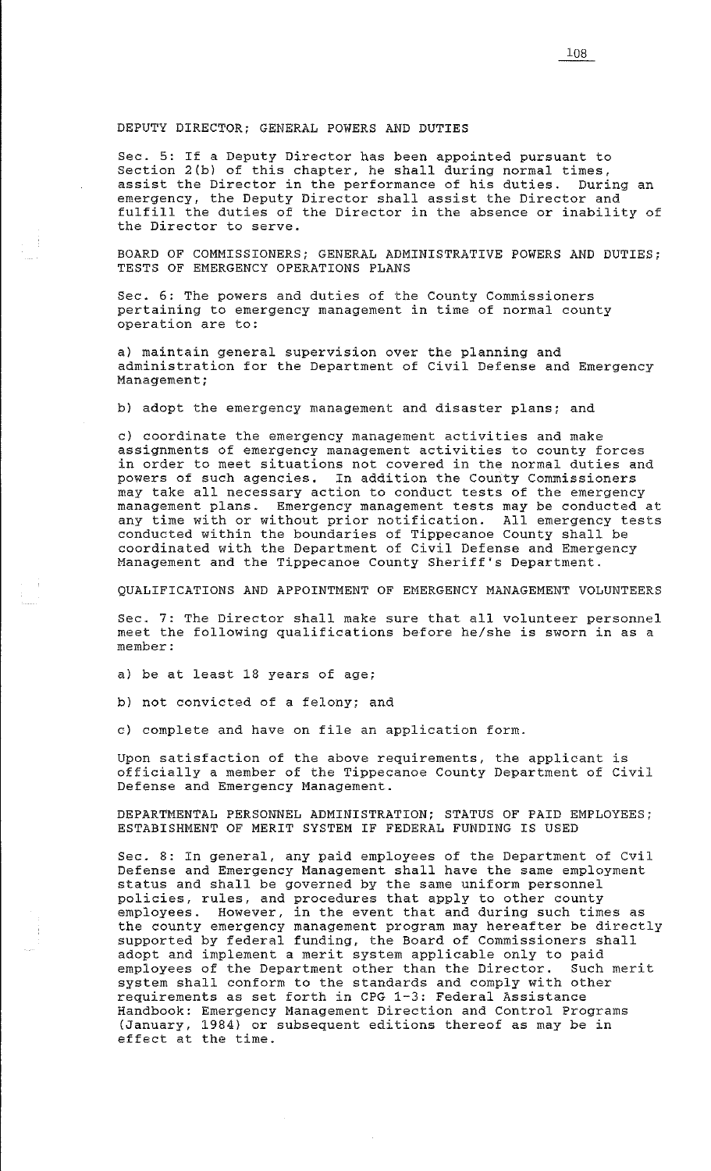#### DEPUTY DIRECTOR; GENERAL POWERS AND DUTIES

Sec. 5: If a Deputy Director has been appointed pursuant to Section 2(b) of this chapter, he shall during normal times, assist the Director in the performance of his duties. During an emergency, the Deputy Director shall assist the Director and fulfill the duties of the Director in the absence or inability of the Director to serve.

BOARD OF COMMISSIONERS; GENERAL ADMINISTRATIVE POWERS AND DUTIES; TESTS OF EMERGENCY OPERATIONS PLANS

Sec. 6: The powers and duties of the County Commissioners pertaining to emergency management in time of normal county operation are to:

a) maintain general supervision over the planning and administration for the Department of Civil Defense and Emergency Management;

b) adopt the emergency management and disaster plans; and

c) coordinate the emergency management activities and make assignments of emergency management activities to county forces in order to meet situations not covered in the normal duties and powers of such agencies. In addition the County Commissioners may take all necessary action to conduct tests of the emergency management plans. Emergency management tests may be conducted at any time with or without prior notification. All emergency tests conducted within the boundaries of Tippecanoe County shall be coordinated with the Department of Civil Defense and Emergency Management and the Tippecanoe County Sheriff's Department.

QUALIFICATIONS AND APPOINTMENT OF EMERGENCY MANAGEMENT VOLUNTEERS

Sec. 7: The Director shall make sure that all volunteer personnel meet the following qualifications before he/she is sworn in as a member:

a) be at least 18 years of age;

b) not convicted of a felony; and

c) complete and have on file an application form.

Upon satisfaction of the above requirements, the applicant is officially a member of the Tippecanoe County Department of Civil Defense and Emergency Management.

DEPARTMENTAL PERSONNEL ADMINISTRATION; STATUS OF PAID EMPLOYEES; ESTABISHMENT OF MERIT SYSTEM IF FEDERAL FUNDING IS USED

Sec. 8: In general, any paid employees of the Department of Cvil Defense and Emergency Management shall have the same employment status and shall be governed by the same uniform personnel policies, rules, and procedures that apply to other county employees. However, in the event that and during such times as the county emergency management program may hereafter be directly supported by federal funding, the Board of Commissioners shall adopt and implement a merit system applicable only to paid employees of the Department other than the Director. Such merit system shall conform to the standards and comply with other requirements as set forth in CPG 1-3: Federal Assistance Handbook: Emergency Management Direction and Control Programs (January, 1984) or subsequent editions thereof as may be in effect at the time.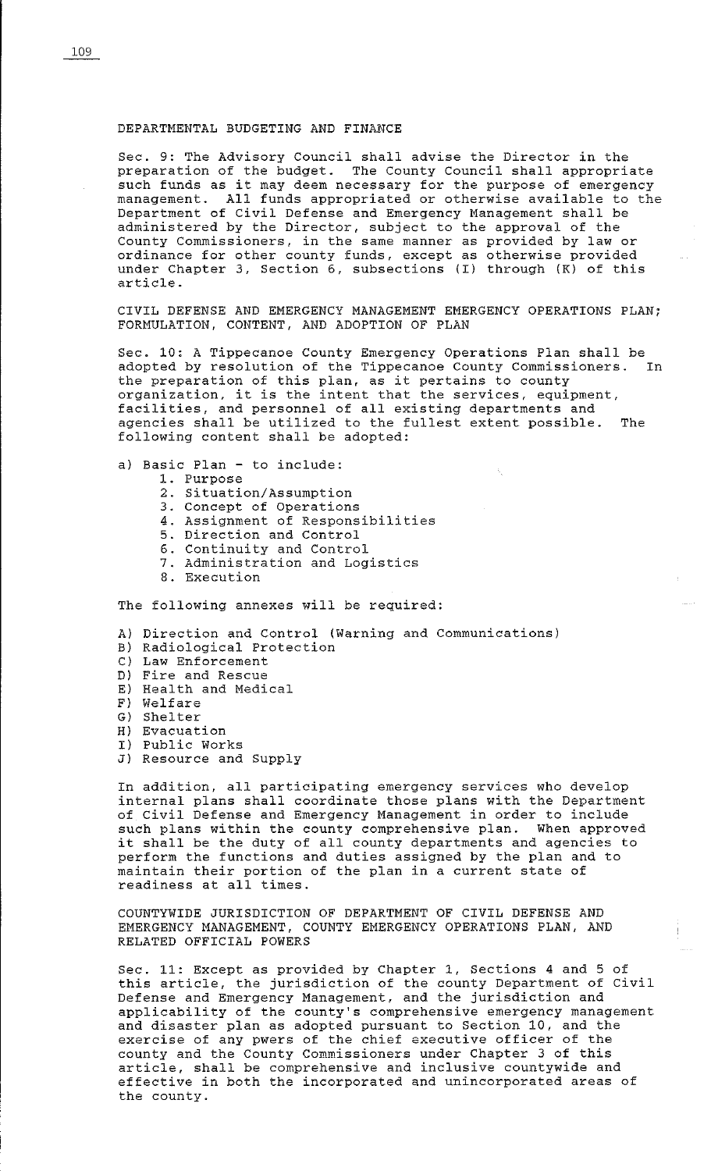#### DEPARTMENTAL BUDGETING AND FINANCE

Sec. 9: The Advisory Council shall advise the Director in the preparation of the budget. The County Council shall appropriate such funds as it may deem necessary for the purpose of emergency management. All funds appropriated or otherwise available to the Department of Civil Defense and Emergency Management shall be administered by the Director, subject to the approval of the County Commissioners, in the same manner as provided by law or ordinance for other county funds, except as otherwise provided under Chapter 3, Section 6, subsections (I) through (K) of this article.

CIVIL DEFENSE AND EMERGENCY MANAGEMENT EMERGENCY OPERATIONS PLAN; FORMULATION, CONTENT, AND ADOPTION OF PLAN

Sec. 10: A Tippecanoe County Emergency Operations Plan shall be adopted by resolution of the Tippecanoe County Commissioners. In the preparation of this plan, as it pertains to county organization, it is the intent that the services, equipment, facilities, and personnel of all existing departments and agencies shall be utilized to the fullest extent possible. The following content shall be adopted:

- a) Basic Plan to include:
	- 1. Purpose
	- 2. Situation/Assumption
	- 3. Concept of Operations
	- 4. Assignment of Responsibilities
	- 5. Direction and Control
	- 6. Continuity and Control
	- 7. Administration and Logistics
	- 8. Execution

The following annexes will be required:

A) Direction and Control (Warning and Communications)

- Bl Radiological Protection
- C) Law Enforcement
- D) Fire and Rescue
- E) Health and Medical
- F) Welfare
- G) Shelter
- H) Evacuation
- I) Public Works
- J) Resource and Supply

In addition, all participating emergency services who develop internal plans shall coordinate those plans with the Department of Civil Defense and Emergency Management in order to include such plans within the county comprehensive plan. When approved it shall be the duty of all county departments and agencies to perform the functions and duties assigned by the plan and to maintain their portion of the plan in a current state of readiness at all times.

COUNTYWIDE JURISDICTION OF DEPARTMENT OF CIVIL DEFENSE AND EMERGENCY MANAGEMENT, COUNTY EMERGENCY OPERATIONS PLAN, AND RELATED OFFICIAL POWERS

Sec. 11: Except as provided by Chapter l, Sections 4 and 5 of bec. II. BROCO as provided by emapper 1, beceiving 4 and 5 or Defense and Emergency Management, and the jurisdiction and applicability of the county's comprehensive emergency management and disaster plan as adopted pursuant to Section 10, and the exercise of any pwers of the chief executive officer of the county and the County Commissioners under Chapter 3 of this article, shall be comprehensive and inclusive countywide and effective in both the incorporated and unincorporated areas of the county.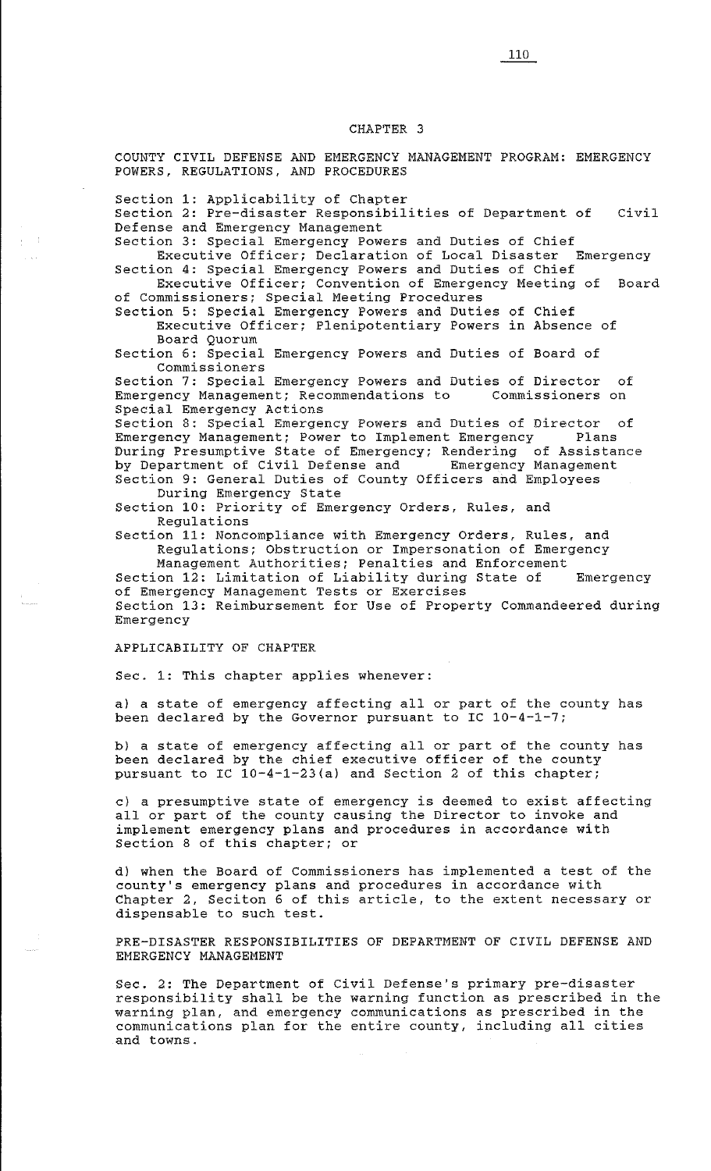# CHAPTER 3

COUNTY CIVIL DEFENSE AND EMERGENCY MANAGEMENT PROGRAM: EMERGENCY POWERS, REGULATIONS, AND PROCEDURES

Section 1: Applicability of Chapter

Section 2: Pre-disaster Responsibilities of Department of Civil Defense and Emergency Management

Section 3: Special Emergency Powers and Duties of Chief Executive Officer; Declaration of Local Disaster Emergency

Section 4: Special Emergency Powers and Duties of Chief Executive Officer; Convention of Emergency Meeting of Board

of Commissioners; Special Meeting Procedures Section 5: Special Emergency Powers and Duties of Chief Executive Officer; Plenipotentiary Powers in Absence of

Board Quorum

Section 6: Special Emergency Powers and Duties of Board of Commissioners

Section 7: Special Emergency Powers and Duties of Director of<br>Emergency Management; Recommendations to Commissioners on Emergency Management; Recommendations to Special Emergency Actions

Section 8: Special Emergency Powers and Duties of Director of Emergency Management; Power to Implement Emergency Plans During Presumptive State of Emergency; Rendering of Assistance by Department of Civil Defense and Emergency Management Section 9: General Duties of County Officers and Employees During Emergency State

Section 10: Priority of Emergency Orders, Rules, and Regulations

Section 11: Noncompliance with Emergency Orders, Rules, and Regulations; Obstruction or Impersonation of Emergency

Management Authorities; Penalties and Enforcement Section 12: Limitation of Liability during State of Emergency of Emergency Management Tests or Exercises Section 13: Reimbursement for Use of Property Commandeered during Emergency

# APPLICABILITY OF CHAPTER

Sec. 1: This chapter applies whenever:

a) a state of emergency affecting all or part of the county has been declared by the Governor pursuant to IC 10-4-1-7;

b) a state of emergency affecting all or part of the county has been declared by the chief executive officer of the county pursuant to IC 10-4-1-23(a) and Section 2 of this chapter;

c) a presumptive state of emergency is deemed to exist affecting all or part of the county causing the Director to invoke and implement emergency plans and procedures in accordance with Section 8 of this chapter; or

d) when the Board of Commissioners has implemented a test of the county's emergency plans and procedures in accordance with Chapter 2, Seciton 6 of this article, to the extent necessary or dispensable to such test.

PRE-DISASTER RESPONSIBILITIES OF DEPARTMENT OF CIVIL DEFENSE AND EMERGENCY MANAGEMENT

Sec. 2: The Department of Civil Defense's primary pre-disaster responsibility shall be the warning function as prescribed in the warning plan, and emergency communications as prescribed in the communications plan for the entire county, including all cities and towns.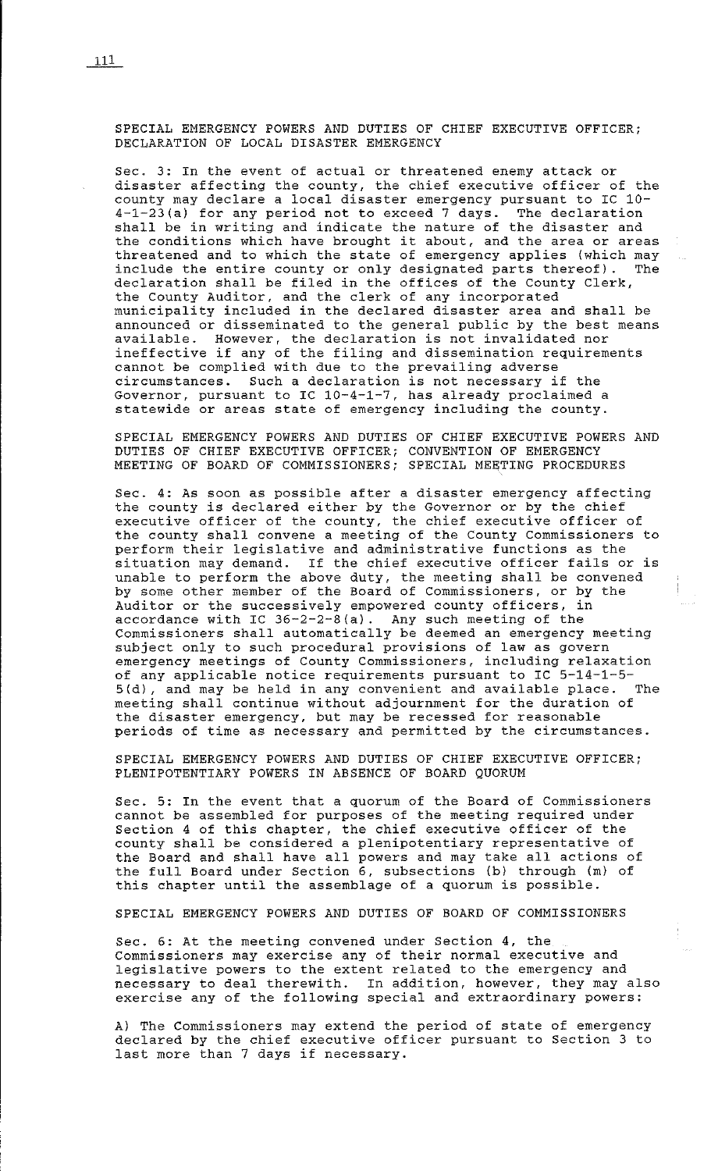SPECIAL EMERGENCY POWERS AND DUTIES OF CHIEF EXECUTIVE OFFICER; DECLARATION OF LOCAL DISASTER EMERGENCY

Sec. 3: In the event of actual or threatened enemy attack or disaster affecting the county, the chief executive officer of the county may declare a local disaster emergency pursuant to IC 10- 4-1-23 (a) for any period not to exceed 7 days. The declaration shall be in writing and indicate the nature of the disaster and shall be in writing and indicate the hature of the disaster and<br>the conditions which have brought it about, and the area or areas threatened and to which the state of emergency applies (which may include the entire county or only designated parts thereof). The declaration shall be filed in the offices of the County Clerk, the County Auditor, and the clerk of any incorporated municipality included in the declared disaster area and shall be announced or disseminated to the general public by the best means available. However, the declaration is not invalidated nor ineffective if any of the filing and dissemination requirements cannot be complied with due to the prevailing adverse circumstances. Such a declaration is not necessary if the Governor, pursuant to IC 10-4-1-7, has already proclaimed a statewide or areas state of emergency including the county.

SPECIAL EMERGENCY POWERS AND DUTIES OF CHIEF EXECUTIVE POWERS AND DUTIES OF CHIEF EXECUTIVE OFFICER; CONVENTION OF EMERGENCY MEETING OF BOARD OF COMMISSIONERS; SPECIAL MEETING PROCEDURES

Sec. 4: As soon as possible after a disaster emergency affecting the county is declared either by the Governor or by the chief executive officer of the county, the chief executive officer of the county shall convene a meeting of the County Commissioners to perform their legislative and administrative functions as the situation may demand. If the chief executive officer fails or is unable to perform the above duty, the meeting shall be convened by some other member of the Board of Commissioners, or by the Auditor or the successively empowered county officers, in accordance with IC 36-2-2-S(a). Any such meeting of the Commissioners shall automatically be deemed an emergency meeting subject only to such procedural provisions of law as govern emergency meetings of County Commissioners, including relaxation of any applicable notice requirements pursuant to IC 5-14-1-5- 5 (d), and may be held in any convenient and available place. The meeting shall continue without adjournment for the duration of the disaster emergency, but may be recessed for reasonable periods of time as necessary and permitted by the circumstances.

SPECIAL EMERGENCY POWERS AND DUTIES OF CHIEF EXECUTIVE OFFICER; PLENIPOTENTIARY POWERS IN ABSENCE OF BOARD QUORUM

Sec. 5: In the event that a quorum of the Board of Commissioners cannot be assembled for purposes of the meeting required under Section 4 of this chapter, the chief executive officer of the county shall be considered a plenipotentiary representative of the Board and shall have all powers and may take all actions of the full Board under Section 6, subsections (b) through (m) of this chapter until the assemblage of a quorum is possible.

SPECIAL EMERGENCY POWERS AND DUTIES OF BOARD OF COMMISSIONERS

Sec. 6: At the meeting convened under Section 4, the Commissioners may exercise any of their normal executive and legislative powers to the extent related to the emergency and necessary to deal therewith. In addition, however, they may also exercise any of the following special and extraordinary powers:

A) The Commissioners may extend the period of state of emergency declared by the chief executive officer pursuant to Section 3 to last more than 7 days if necessary.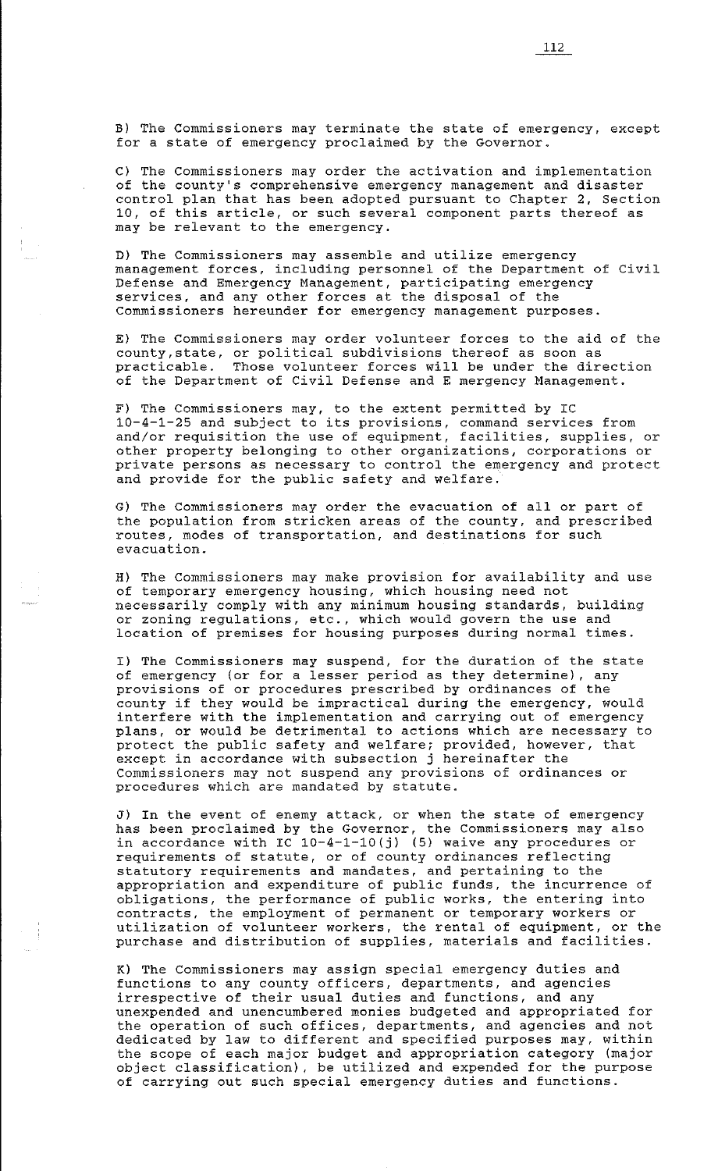B) The Commissioners may terminate the state of emergency, except for a state of emergency proclaimed by the Governor.

C) The Commissioners may order the activation and implementation of the county's comprehensive emergency management and disaster control plan that has been adopted pursuant to Chapter 2, Section 10, of this article, or such several component parts thereof as may be relevant to the emergency.

D) The Commissioners may assemble and utilize emergency management forces, including personnel of the Department of Civil Defense and Emergency Management, participating emergency services, and any other forces at the disposal of the Commissioners hereunder for emergency management purposes.

E) The Commissioners may order volunteer forces to the aid of the county, state, or political subdivisions thereof as soon as<br>practicable. Those volunteer forces will be under the dire Those volunteer forces will be under the direction of the Department of Civil Defense and E mergency Management.

F) The Commissioners may, to the extent permitted by IC 10-4-1-25 and subject to its provisions, command services from and/or requisition the use of equipment, facilities, supplies, or other property belonging to other organizations, corporations or private persons as necessary to control the emergency and protect and provide for the public safety and welfare.

G) The Commissioners may order the evacuation of all or part of the population from stricken areas of the county, and prescribed routes, modes of transportation, and destinations for such evacuation.

H) The Commissioners may make provision for availability and use of temporary emergency housing, which housing need not necessarily comply with any minimum housing standards, building or zoning regulations, etc., which would govern the use and location of premises for housing purposes during normal times.

I) The Commissioners may suspend, for the duration of the state of emergency (or for a lesser period as they determine), any provisions of or procedures prescribed by ordinances of the county if they would be impractical during the emergency, would interfere with the implementation and carrying out of emergency plans, or would be detrimental to actions which are necessary to protect the public safety and welfare; provided, however, that except in accordance with subsection j hereinafter the Commissioners may not suspend any provisions of ordinances or procedures which are mandated by statute.

J) In the event of enemy attack, or when the state of emergency has been proclaimed by the Governor, the Commissioners may also in accordance with IC 10-4-1-lO(j) (5) waive any procedures or requirements of statute, or of county ordinances reflecting statutory requirements and mandates, and pertaining to the appropriation and expenditure of public funds, the incurrence of obligations, the performance of public works, the entering into contracts, the employment of permanent or temporary workers or utilization of volunteer workers, the rental of equipment, or the purchase and distribution of supplies, materials and facilities.

K) The Commissioners may assign special emergency duties and functions to any county officers, departments, and agencies irrespective of their usual duties and functions, and any unexpended and unencumbered monies budgeted and appropriated for the operation of such offices, departments, and agencies and not dedicated by law to different and specified purposes may, within the scope of each major budget and appropriation category (major object classification) , be utilized and expended for the purpose of carrying out such special emergency duties and functions.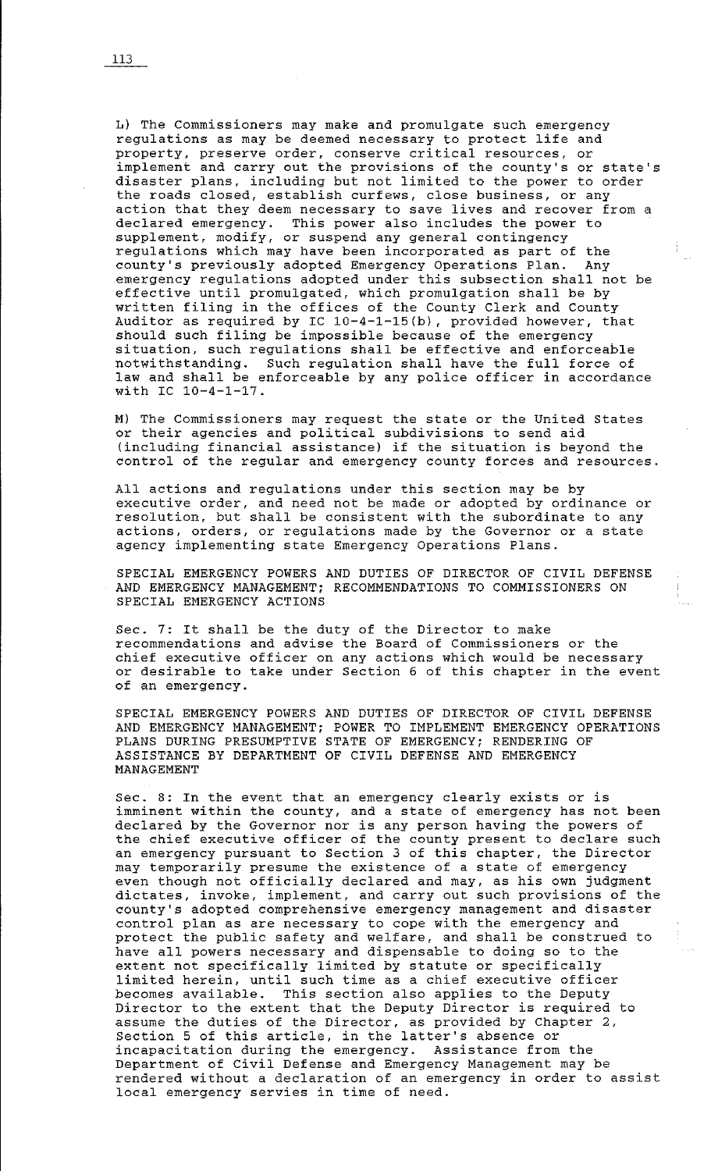L) The Commissioners may make and promulgate such emergency regulations as may be deemed necessary to protect life and property, preserve order, conserve critical resources, or implement and carry out the provisions of the county's or state's disaster plans, including but not limited to the power to order the roads closed, establish curfews, close business, or any action that they deem necessary to save lives and recover from a declared emergency. This power also includes the power to supplement, modify, or suspend any general contingency regulations which may have been incorporated as part of the county's previously adopted Emergency Operations Plan. Any emergency regulations adopted under this subsection shall not be effective until promulgated, which promulgation shall be by written filing in the offices of the County Clerk and County Auditor as required by IC 10-4-1-15(b), provided however, that should such filing be impossible because of the emergency situation, such regulations shall be effective and enforceable notwithstanding. Such regulation shall have the full force of law and shall be enforceable by any police officer in accordance with IC 10-4-1-17.

M) The Commissioners may request the state or the United States or their agencies and political subdivisions to send aid (including financial assistance) if the situation is beyond the control of the regular and emergency county forces and resources.

All actions and regulations under this section may be by executive order, and need not be made or adopted by ordinance or resolution, but shall be consistent with the subordinate to any actions, orders, or regulations made by the Governor or a state accrono, cracro, or regulations made by the covernor.

SPECIAL EMERGENCY POWERS AND DUTIES OF DIRECTOR OF CIVIL DEFENSE AND EMERGENCY MANAGEMENT; RECOMMENDATIONS TO COMMISSIONERS ON SPECIAL EMERGENCY ACTIONS

Sec. 7: It shall be the duty of the Director to make recommendations and advise the Board of Commissioners or the chief executive officer on any actions which would be necessary or desirable to take under Section 6 of this chapter in the event of an emergency.

SPECIAL EMERGENCY POWERS AND DUTIES OF DIRECTOR OF CIVIL DEFENSE AND EMERGENCY MANAGEMENT; POWER TO IMPLEMENT EMERGENCY OPERATIONS PLANS DURING PRESUMPTIVE STATE OF EMERGENCY; RENDERING OF ASSISTANCE BY DEPARTMENT OF CIVIL DEFENSE AND EMERGENCY MANAGEMENT

Sec. 8: In the event that an emergency clearly exists or is imminent within the county, and a state of emergency has not been declared by the Governor nor is any person having the powers of the chief executive officer of the county present to declare such an emergency pursuant to Section 3 of this chapter, the Director an omorgency parsume to section of the enaptor, the sirce. may comporarity presume and existence of a seate of emergency<br>even though not officially declared and may, as his own judgment dictates, invoke, implement, and carry out such provisions of the county's adopted comprehensive emergency management and disaster control plan as are necessary to cope with the emergency and protect the public safety and welfare, and shall be construed to have all powers necessary and dispensable to doing so to the extent not specifically limited by statute or specifically limited herein, until such time as a chief executive officer becomes available. This section also applies to the Deputy Director to the extent that the Deputy Director is required to assume the duties of the Director, as provided by Chapter 2, assume the dutres of the birector, as provided by that<br>Section 5 of this article, in the latter's absence or incapacitation during the emergency. Assistance from the Department of Civil Defense and Emergency Management may be rendered without a declaration of an emergency in order to assist local emergency servies in time of need.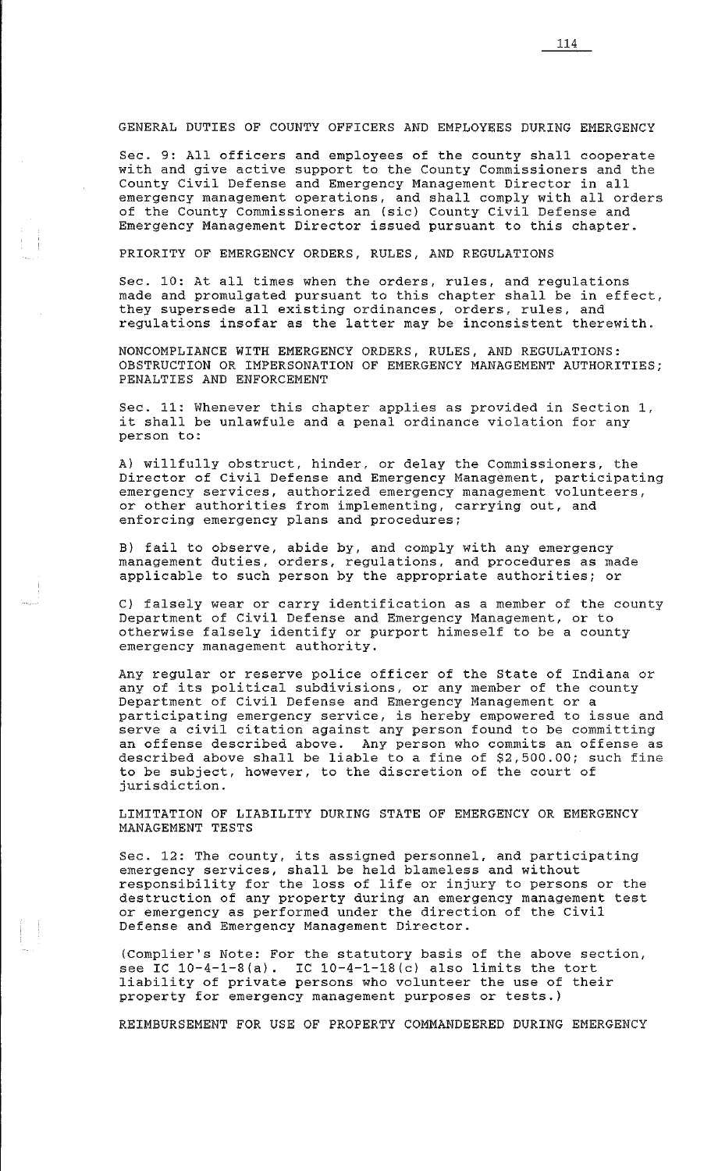GENERAL DUTIES OF COUNTY OFFICERS AND EMPLOYEES DURING EMERGENCY

Sec. 9: All officers and employees of the county shall cooperate with and give active support to the County Commissioners and the County Civil Defense and Emergency Management Director in all emergency management operations, and shall comply with all orders of the County Commissioners an (sic) County Civil Defense and Emergency Management Director issued pursuant to this chapter.

PRIORITY OF EMERGENCY ORDERS, RULES, AND REGULATIONS

Sec. 10: At all times when the orders, rules, and regulations made and promulgated pursuant to this chapter shall be in effect, they supersede all existing ordinances, orders, rules, and regulations insofar as the latter may be inconsistent therewith.

NONCOMPLIANCE WITH EMERGENCY ORDERS, RULES, AND REGULATIONS: OBSTRUCTION OR IMPERSONATION OF EMERGENCY MANAGEMENT AUTHORITIES; PENALTIES AND ENFORCEMENT

Sec. 11: Whenever this chapter applies as provided in Section l, sec. II: whenever this chapter applies as provided in section<br>it shall be unlawfule and a penal ordinance violation for any person to:

A) willfully obstruct, hinder, or delay the Commissioners, the Director of Civil Defense and Emergency Management, participating emergency services, authorized emergency management volunteers, or other authorities from implementing, carrying out, and enforcing emergency plans and procedures;

B) fail to observe, abide by, and comply with any emergency management duties, orders, regulations, and procedures as made applicable to such person by the appropriate authorities; or

C) falsely wear or carry identification as a member of the county Department of Civil Defense and Emergency Management, or to otherwise falsely identify or purport himeself to be a county emergency management authority.

Any regular or reserve police officer of the State of Indiana or any reguiar of reserve poirce officer of the state of indiana carry reguiar of the county Department of Civil Defense and Emergency Management or a participating emergency service, is hereby empowered to issue and serve a civil citation against any person found to be committing an offense described above. Any person who commits an offense as described above shall be liable to a fine of \$2,500.00; such fine to be subject, however, to the discretion of the court of jurisdiction.

LIMITATION OF LIABILITY DURING STATE OF EMERGENCY OR EMERGENCY MANAGEMENT TESTS

Sec. 12: The county, its assigned personnel, and participating emergency services, shall be held blameless and without emergency services, shart be herd brameress and wrinout<br>responsibility for the loss of life or injury to persons or the destruction of any property during an emergency management test or emergency as performed under the direction of the Civil Defense and Emergency Management Director.

(Complier's Note: For the statutory basis of the above section, see IC  $10-4-1-8$  (a). IC  $10-4-1-18$  (c) also limits the tort liability of private persons who volunteer the use of their property for emergency management purposes or tests.)

REIMBURSEMENT FOR USE OF PROPERTY COMMANDEERED DURING EMERGENCY